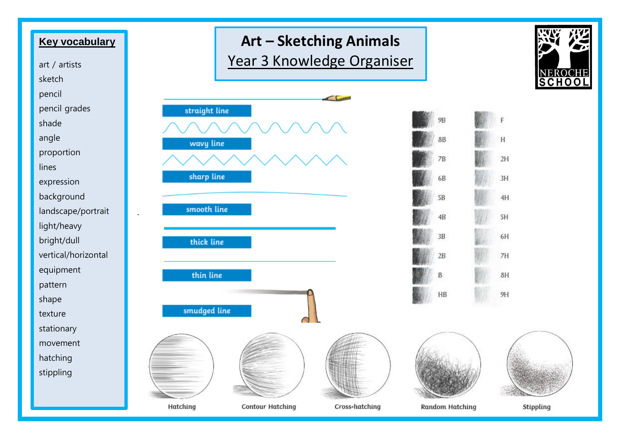





Cross-hatching

Stippling